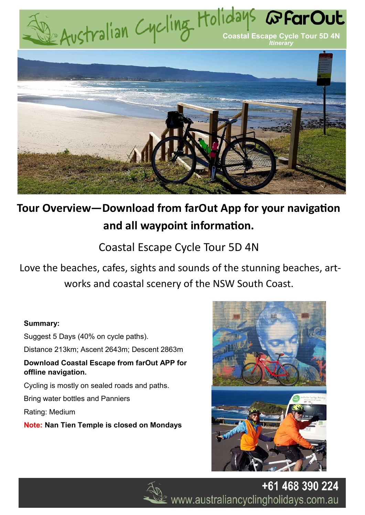

# **Tour Overview—Download from farOut App for your navigation and all waypoint information.**

## Coastal Escape Cycle Tour 5D 4N

Love the beaches, cafes, sights and sounds of the stunning beaches, artworks and coastal scenery of the NSW South Coast.

## **Summary:**

Suggest 5 Days (40% on cycle paths). Distance 213km; Ascent 2643m; Descent 2863m **Download Coastal Escape from farOut APP for offline navigation.**  Cycling is mostly on sealed roads and paths. Bring water bottles and Panniers Rating: Medium

**Note: Nan Tien Temple is closed on Mondays**





+61 468 390 224  $\mathcal{\underline{\mathscr{L}}}$  www.australiancyclingholidays.com.au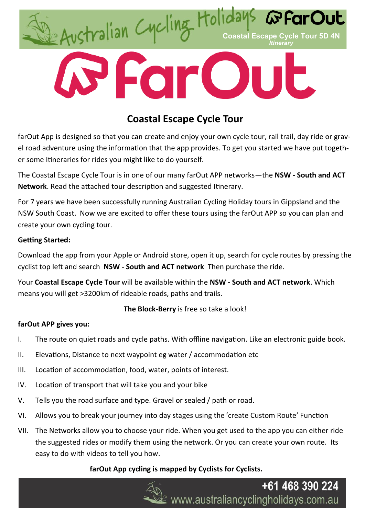

## **Coastal Escape Cycle Tour**

farOut App is designed so that you can create and enjoy your own cycle tour, rail trail, day ride or gravel road adventure using the information that the app provides. To get you started we have put together some Itineraries for rides you might like to do yourself.

The Coastal Escape Cycle Tour is in one of our many farOut APP networks—the **NSW - South and ACT Network**. Read the attached tour description and suggested Itinerary.

For 7 years we have been successfully running Australian Cycling Holiday tours in Gippsland and the NSW South Coast. Now we are excited to offer these tours using the farOut APP so you can plan and create your own cycling tour.

## **Getting Started:**

Download the app from your Apple or Android store, open it up, search for cycle routes by pressing the cyclist top left and search **NSW - South and ACT network** Then purchase the ride.

Your **Coastal Escape Cycle Tour** will be available within the **NSW - South and ACT network**. Which means you will get >3200km of rideable roads, paths and trails.

**The Block-Berry** is free so take a look!

## **farOut APP gives you:**

- I. The route on quiet roads and cycle paths. With offline navigation. Like an electronic guide book.
- II. Elevations, Distance to next waypoint eg water / accommodation etc
- III. Location of accommodation, food, water, points of interest.
- IV. Location of transport that will take you and your bike
- V. Tells you the road surface and type. Gravel or sealed / path or road.
- VI. Allows you to break your journey into day stages using the 'create Custom Route' Function
- VII. The Networks allow you to choose your ride. When you get used to the app you can either ride the suggested rides or modify them using the network. Or you can create your own route. Its easy to do with videos to tell you how.

## **farOut App cycling is mapped by Cyclists for Cyclists.**

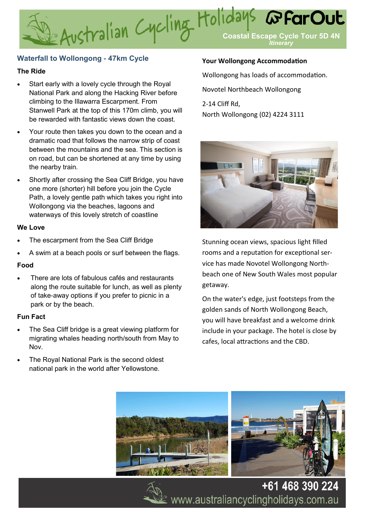# E Australian Cycling Holidays **@FarOut** *G* Far Out *Itinerary*

## **Waterfall to Wollongong - 47km Cycle**

#### **The Ride**

- Start early with a lovely cycle through the Royal National Park and along the Hacking River before climbing to the Illawarra Escarpment. From Stanwell Park at the top of this 170m climb, you will be rewarded with fantastic views down the coast.
- Your route then takes you down to the ocean and a dramatic road that follows the narrow strip of coast between the mountains and the sea. This section is on road, but can be shortened at any time by using the nearby train.
- Shortly after crossing the Sea Cliff Bridge, you have one more (shorter) hill before you join the Cycle Path, a lovely gentle path which takes you right into Wollongong via the beaches, lagoons and waterways of this lovely stretch of coastline

#### **We Love**

- The escarpment from the Sea Cliff Bridge
- A swim at a beach pools or surf between the flags.

#### **Food**

There are lots of fabulous cafés and restaurants along the route suitable for lunch, as well as plenty of take-away options if you prefer to picnic in a park or by the beach.

## **Fun Fact**

- The Sea Cliff bridge is a great viewing platform for migrating whales heading north/south from May to Nov.
- The Royal National Park is the second oldest national park in the world after Yellowstone.

## **Your Wollongong Accommodation**

Wollongong has loads of accommodation.

Novotel Northbeach Wollongong

2-14 Cliff Rd, North Wollongong (02) 4224 3111



Stunning ocean views, spacious light filled rooms and a reputation for exceptional service has made Novotel Wollongong Northbeach one of New South Wales most popular getaway.

On the water's edge, just footsteps from the golden sands of North Wollongong Beach, you will have breakfast and a welcome drink include in your package. The hotel is close by cafes, local attractions and the CBD.





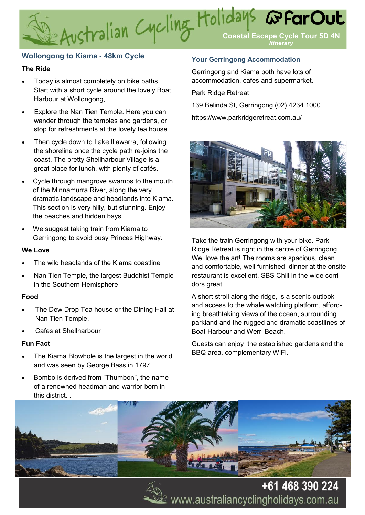## **Wollongong to Kiama - 48km Cycle**

### **The Ride**

- Today is almost completely on bike paths. Start with a short cycle around the lovely Boat Harbour at Wollongong,
- Explore the Nan Tien Temple. Here you can wander through the temples and gardens, or stop for refreshments at the lovely tea house.
- Then cycle down to Lake Illawarra, following the shoreline once the cycle path re-joins the coast. The pretty Shellharbour Village is a great place for lunch, with plenty of cafés.
- Cycle through mangrove swamps to the mouth of the Minnamurra River, along the very dramatic landscape and headlands into Kiama. This section is very hilly, but stunning. Enjoy the beaches and hidden bays.
- We suggest taking train from Kiama to Gerringong to avoid busy Princes Highway.

#### **We Love**

- The wild headlands of the Kiama coastline
- Nan Tien Temple, the largest Buddhist Temple in the Southern Hemisphere.

#### **Food**

- The Dew Drop Tea house or the Dining Hall at Nan Tien Temple.
- Cafes at Shellharbour

#### **Fun Fact**

- The Kiama Blowhole is the largest in the world and was seen by George Bass in 1797.
- Bombo is derived from "Thumbon", the name of a renowned headman and warrior born in this district.

#### **Your Gerringong Accommodation**

Gerringong and Kiama both have lots of accommodation, cafes and supermarket.

Park Ridge Retreat

139 Belinda St, Gerringong (02) 4234 1000 https://www.parkridgeretreat.com.au/



Take the train Gerringong with your bike. Park Ridge Retreat is right in the centre of Gerringong. We love the art! The rooms are spacious, clean and comfortable, well furnished, dinner at the onsite restaurant is excellent, SBS Chill in the wide corridors great.

A short stroll along the ridge, is a scenic outlook and access to the whale watching platform, affording breathtaking views of the ocean, surrounding parkland and the rugged and dramatic coastlines of Boat Harbour and Werri Beach.

Guests can enjoy the established gardens and the BBQ area, complementary WiFi.





+61 468 390 224 www.australiancyclingholidays.com.au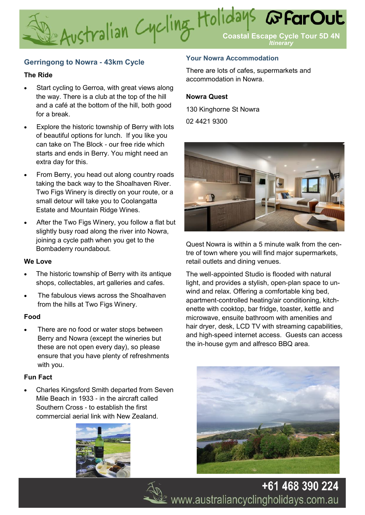## **Gerringong to Nowra - 43km Cycle**

#### **The Ride**

- Start cycling to Gerroa, with great views along the way. There is a club at the top of the hill and a café at the bottom of the hill, both good for a break.
- Explore the historic township of Berry with lots of beautiful options for lunch. If you like you can take on The Block - our free ride which starts and ends in Berry. You might need an extra day for this.
- From Berry, you head out along country roads taking the back way to the Shoalhaven River. Two Figs Winery is directly on your route, or a small detour will take you to Coolangatta Estate and Mountain Ridge Wines.
- After the Two Figs Winery, you follow a flat but slightly busy road along the river into Nowra, joining a cycle path when you get to the Bombaderry roundabout.

#### **We Love**

- The historic township of Berry with its antique shops, collectables, art galleries and cafes.
- The fabulous views across the Shoalhaven from the hills at Two Figs Winery.

#### **Food**

There are no food or water stops between Berry and Nowra (except the wineries but these are not open every day), so please ensure that you have plenty of refreshments with you.

#### **Fun Fact**

• Charles Kingsford Smith departed from Seven Mile Beach in 1933 - in the aircraft called Southern Cross - to establish the first commercial aerial link with New Zealand.



#### **Your Nowra Accommodation**

There are lots of cafes, supermarkets and accommodation in Nowra.

#### **Nowra Quest**

130 Kinghorne St Nowra

02 4421 9300



Quest Nowra is within a 5 minute walk from the centre of town where you will find major supermarkets, retail outlets and dining venues.

The well-appointed Studio is flooded with natural light, and provides a stylish, open-plan space to unwind and relax. Offering a comfortable king bed, apartment-controlled heating/air conditioning, kitchenette with cooktop, bar fridge, toaster, kettle and microwave, ensuite bathroom with amenities and hair dryer, desk, LCD TV with streaming capabilities, and high-speed internet access. Guests can access the in-house gym and alfresco BBQ area.



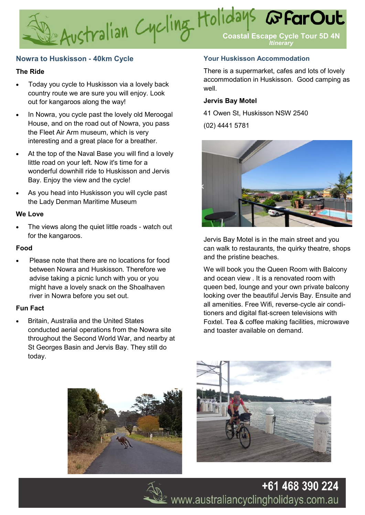## **Nowra to Huskisson - 40km Cycle**

#### **The Ride**

- Today you cycle to Huskisson via a lovely back country route we are sure you will enjoy. Look out for kangaroos along the way!
- In Nowra, you cycle past the lovely old Meroogal House, and on the road out of Nowra, you pass the Fleet Air Arm museum, which is very interesting and a great place for a breather.
- At the top of the Naval Base you will find a lovely little road on your left. Now it's time for a wonderful downhill ride to Huskisson and Jervis Bay. Enjoy the view and the cycle!
- As you head into Huskisson you will cycle past the Lady Denman Maritime Museum

#### **We Love**

The views along the quiet little roads - watch out for the kangaroos.

#### **Food**

• Please note that there are no locations for food between Nowra and Huskisson. Therefore we advise taking a picnic lunch with you or you might have a lovely snack on the Shoalhaven river in Nowra before you set out.

#### **Fun Fact**

• Britain, Australia and the United States conducted aerial operations from the Nowra site throughout the Second World War, and nearby at St Georges Basin and Jervis Bay. They still do today.

#### **Your Huskisson Accommodation**

There is a supermarket, cafes and lots of lovely accommodation in Huskisson. Good camping as well.

#### **Jervis Bay Motel**

41 Owen St, Huskisson NSW 2540

(02) 4441 5781



Jervis Bay Motel is in the main street and you can walk to restaurants, the quirky theatre, shops and the pristine beaches.

We will book you the Queen Room with Balcony and ocean view . It is a renovated room with queen bed, lounge and your own private balcony looking over the beautiful Jervis Bay. Ensuite and all amenities. Free Wifi, reverse-cycle air conditioners and digital flat-screen televisions with Foxtel. Tea & coffee making facilities, microwave and toaster available on demand.